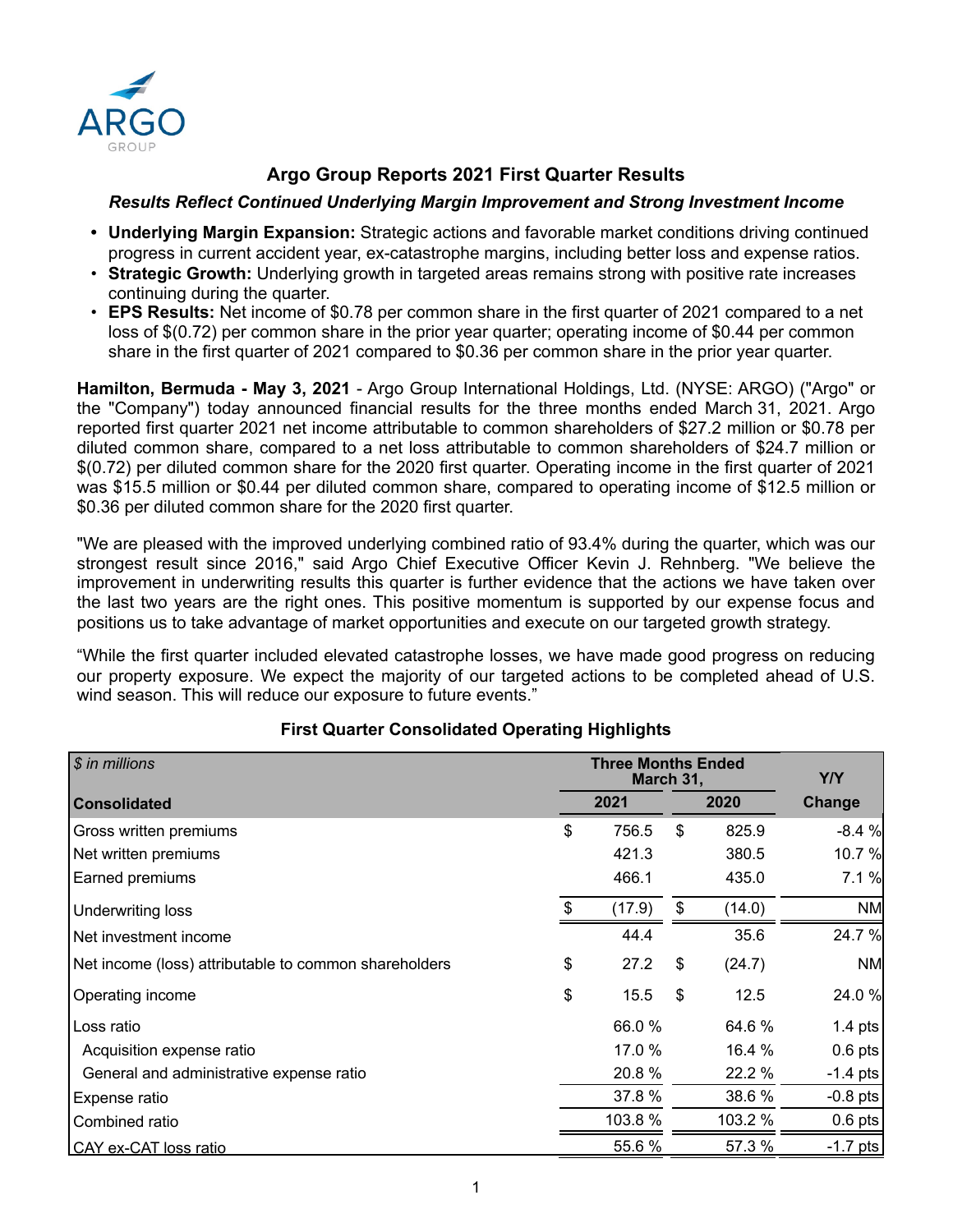

# **Argo Group Reports 2021 First Quarter Results**

## *Results Reflect Continued Underlying Margin Improvement and Strong Investment Income*

- **• Underlying Margin Expansion:** Strategic actions and favorable market conditions driving continued progress in current accident year, ex-catastrophe margins, including better loss and expense ratios.
- **Strategic Growth:** Underlying growth in targeted areas remains strong with positive rate increases continuing during the quarter.
- **EPS Results:** Net income of \$0.78 per common share in the first quarter of 2021 compared to a net loss of \$(0.72) per common share in the prior year quarter; operating income of \$0.44 per common share in the first quarter of 2021 compared to \$0.36 per common share in the prior year quarter.

**Hamilton, Bermuda - May 3, 2021** - Argo Group International Holdings, Ltd. (NYSE: ARGO) ("Argo" or the "Company") today announced financial results for the three months ended March 31, 2021. Argo reported first quarter 2021 net income attributable to common shareholders of \$27.2 million or \$0.78 per diluted common share, compared to a net loss attributable to common shareholders of \$24.7 million or \$(0.72) per diluted common share for the 2020 first quarter. Operating income in the first quarter of 2021 was \$15.5 million or \$0.44 per diluted common share, compared to operating income of \$12.5 million or \$0.36 per diluted common share for the 2020 first quarter.

"We are pleased with the improved underlying combined ratio of 93.4% during the quarter, which was our strongest result since 2016," said Argo Chief Executive Officer Kevin J. Rehnberg. "We believe the improvement in underwriting results this quarter is further evidence that the actions we have taken over the last two years are the right ones. This positive momentum is supported by our expense focus and positions us to take advantage of market opportunities and execute on our targeted growth strategy.

"While the first quarter included elevated catastrophe losses, we have made good progress on reducing our property exposure. We expect the majority of our targeted actions to be completed ahead of U.S. wind season. This will reduce our exposure to future events."

| $$$ in millions                                       | <b>Three Months Ended</b><br>March 31, |    | Y/Y     |            |
|-------------------------------------------------------|----------------------------------------|----|---------|------------|
| <b>Consolidated</b>                                   | 2021                                   |    | 2020    | Change     |
| <b>Gross written premiums</b>                         | \$<br>756.5                            | \$ | 825.9   | $-8.4%$    |
| Net written premiums                                  | 421.3                                  |    | 380.5   | 10.7 %     |
| <b>Earned premiums</b>                                | 466.1                                  |    | 435.0   | 7.1%       |
| <b>Underwriting loss</b>                              | \$<br>(17.9)                           | \$ | (14.0)  | <b>NM</b>  |
| Net investment income                                 | 44.4                                   |    | 35.6    | 24.7 %     |
| Net income (loss) attributable to common shareholders | \$<br>27.2                             | \$ | (24.7)  | <b>NM</b>  |
| Operating income                                      | \$<br>15.5                             | \$ | 12.5    | 24.0 %     |
| Loss ratio                                            | 66.0 %                                 |    | 64.6 %  | $1.4$ pts  |
| Acquisition expense ratio                             | 17.0 %                                 |    | 16.4 %  | $0.6$ pts  |
| General and administrative expense ratio              | 20.8%                                  |    | 22.2 %  | $-1.4$ pts |
| Expense ratio                                         | 37.8 %                                 |    | 38.6 %  | $-0.8$ pts |
| Combined ratio                                        | 103.8 %                                |    | 103.2 % | $0.6$ pts  |
| CAY ex-CAT loss ratio                                 | 55.6 %                                 |    | 57.3 %  | $-1.7$ pts |

# **First Quarter Consolidated Operating Highlights**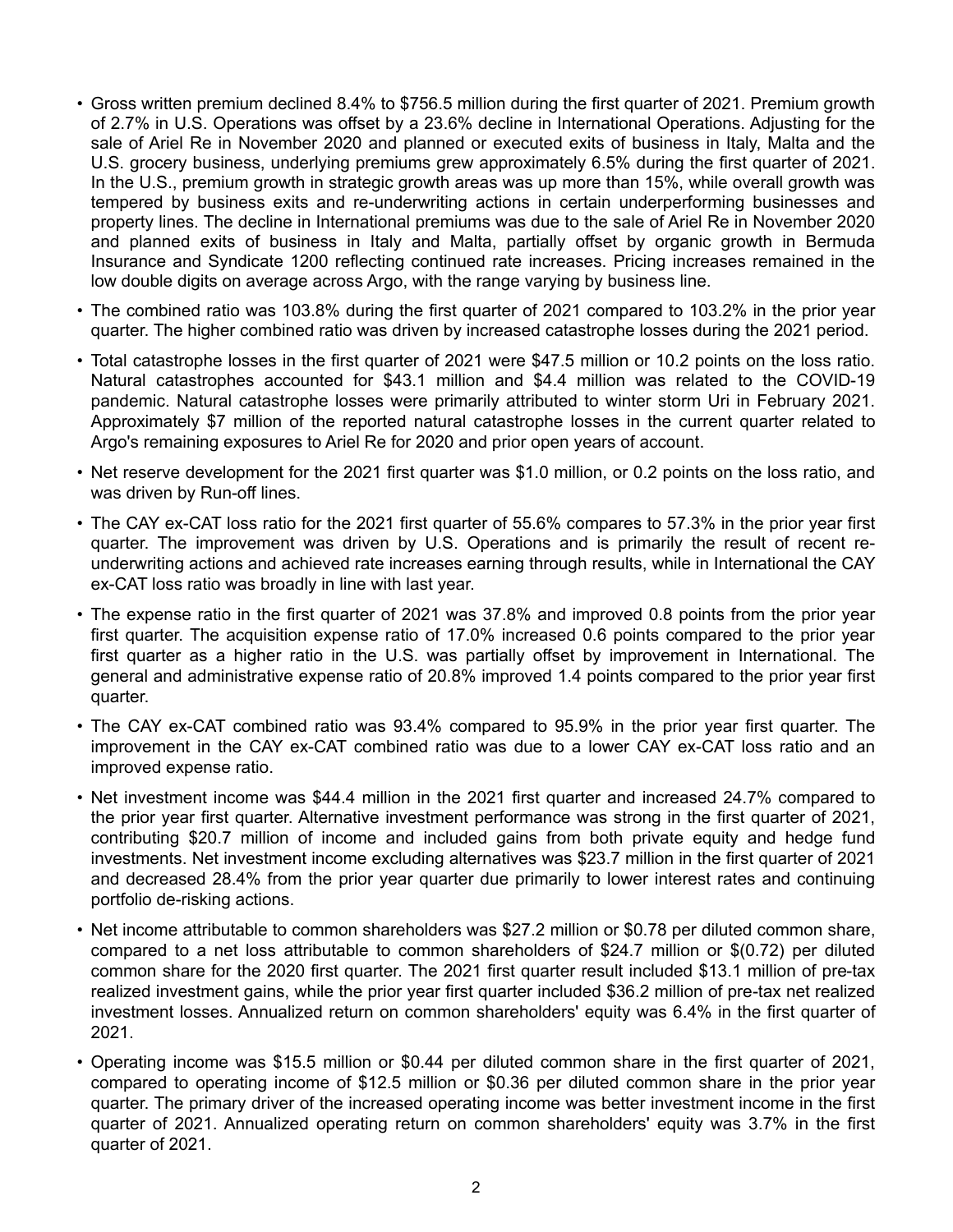- Gross written premium declined 8.4% to \$756.5 million during the first quarter of 2021. Premium growth of 2.7% in U.S. Operations was offset by a 23.6% decline in International Operations. Adjusting for the sale of Ariel Re in November 2020 and planned or executed exits of business in Italy, Malta and the U.S. grocery business, underlying premiums grew approximately 6.5% during the first quarter of 2021. In the U.S., premium growth in strategic growth areas was up more than 15%, while overall growth was tempered by business exits and re-underwriting actions in certain underperforming businesses and property lines. The decline in International premiums was due to the sale of Ariel Re in November 2020 and planned exits of business in Italy and Malta, partially offset by organic growth in Bermuda Insurance and Syndicate 1200 reflecting continued rate increases. Pricing increases remained in the low double digits on average across Argo, with the range varying by business line.
- The combined ratio was 103.8% during the first quarter of 2021 compared to 103.2% in the prior year quarter. The higher combined ratio was driven by increased catastrophe losses during the 2021 period.
- Total catastrophe losses in the first quarter of 2021 were \$47.5 million or 10.2 points on the loss ratio. Natural catastrophes accounted for \$43.1 million and \$4.4 million was related to the COVID-19 pandemic. Natural catastrophe losses were primarily attributed to winter storm Uri in February 2021. Approximately \$7 million of the reported natural catastrophe losses in the current quarter related to Argo's remaining exposures to Ariel Re for 2020 and prior open years of account.
- Net reserve development for the 2021 first quarter was \$1.0 million, or 0.2 points on the loss ratio, and was driven by Run-off lines.
- The CAY ex-CAT loss ratio for the 2021 first quarter of 55.6% compares to 57.3% in the prior year first quarter. The improvement was driven by U.S. Operations and is primarily the result of recent reunderwriting actions and achieved rate increases earning through results, while in International the CAY ex-CAT loss ratio was broadly in line with last year.
- The expense ratio in the first quarter of 2021 was 37.8% and improved 0.8 points from the prior year first quarter. The acquisition expense ratio of 17.0% increased 0.6 points compared to the prior year first quarter as a higher ratio in the U.S. was partially offset by improvement in International. The general and administrative expense ratio of 20.8% improved 1.4 points compared to the prior year first quarter.
- The CAY ex-CAT combined ratio was 93.4% compared to 95.9% in the prior year first quarter. The improvement in the CAY ex-CAT combined ratio was due to a lower CAY ex-CAT loss ratio and an improved expense ratio.
- Net investment income was \$44.4 million in the 2021 first quarter and increased 24.7% compared to the prior year first quarter. Alternative investment performance was strong in the first quarter of 2021, contributing \$20.7 million of income and included gains from both private equity and hedge fund investments. Net investment income excluding alternatives was \$23.7 million in the first quarter of 2021 and decreased 28.4% from the prior year quarter due primarily to lower interest rates and continuing portfolio de-risking actions.
- Net income attributable to common shareholders was \$27.2 million or \$0.78 per diluted common share, compared to a net loss attributable to common shareholders of \$24.7 million or \$(0.72) per diluted common share for the 2020 first quarter. The 2021 first quarter result included \$13.1 million of pre-tax realized investment gains, while the prior year first quarter included \$36.2 million of pre-tax net realized investment losses. Annualized return on common shareholders' equity was 6.4% in the first quarter of 2021.
- Operating income was \$15.5 million or \$0.44 per diluted common share in the first quarter of 2021, compared to operating income of \$12.5 million or \$0.36 per diluted common share in the prior year quarter. The primary driver of the increased operating income was better investment income in the first quarter of 2021. Annualized operating return on common shareholders' equity was 3.7% in the first quarter of 2021.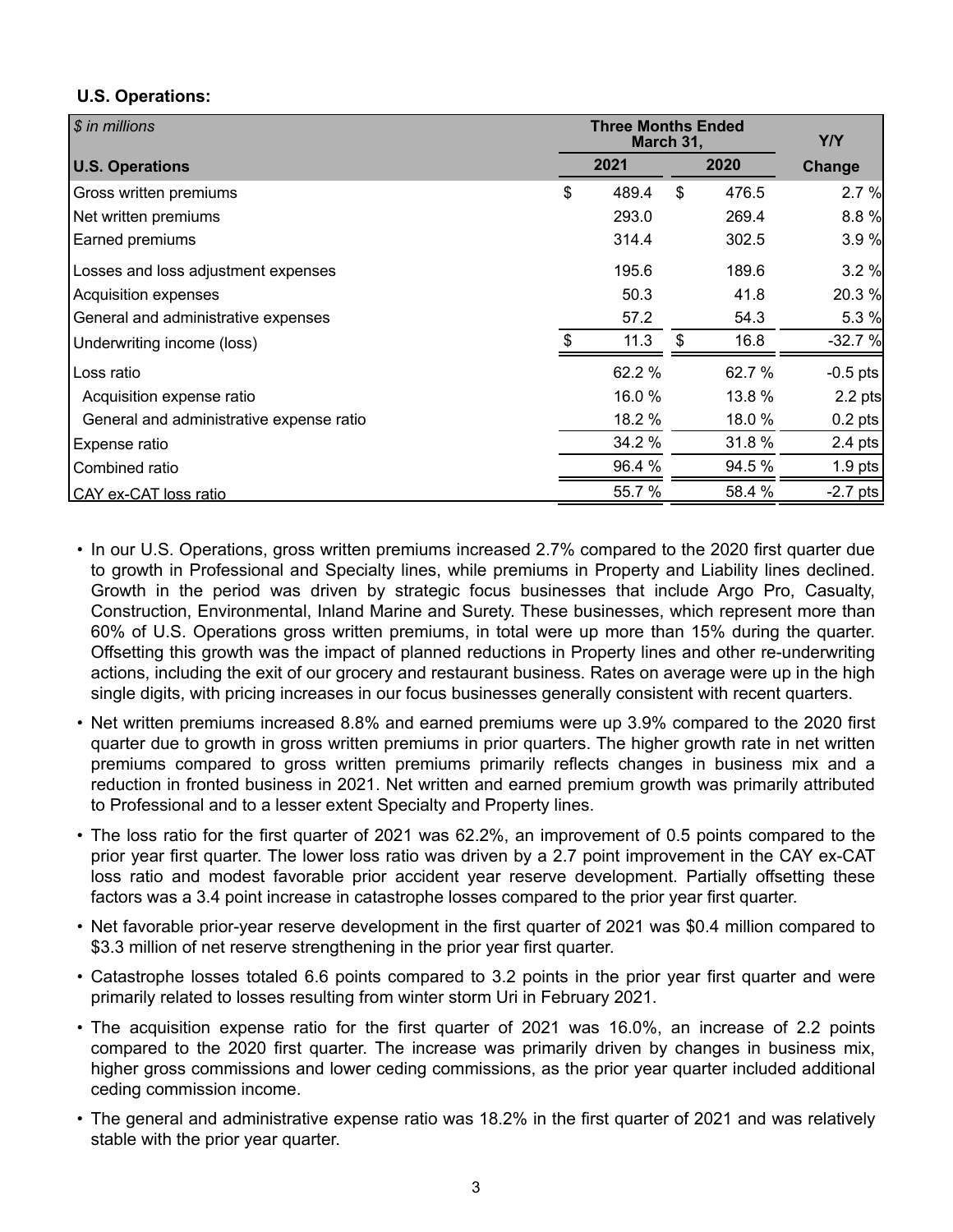## **U.S. Operations:**

| \$ in millions                           | <b>Three Months Ended</b><br>March 31, |    | Y/Y    |            |  |  |
|------------------------------------------|----------------------------------------|----|--------|------------|--|--|
| <b>U.S. Operations</b>                   | 2021<br>2020                           |    |        | Change     |  |  |
| Gross written premiums                   | \$<br>489.4                            | \$ | 476.5  | 2.7%       |  |  |
| Net written premiums                     | 293.0                                  |    | 269.4  | 8.8%       |  |  |
| Earned premiums                          | 314.4                                  |    | 302.5  | 3.9%       |  |  |
| Losses and loss adjustment expenses      | 195.6                                  |    | 189.6  | 3.2%       |  |  |
| Acquisition expenses                     | 50.3                                   |    | 41.8   | 20.3 %     |  |  |
| General and administrative expenses      | 57.2                                   |    | 54.3   | 5.3 %      |  |  |
| Underwriting income (loss)               | 11.3                                   | \$ | 16.8   | $-32.7%$   |  |  |
| Loss ratio                               | 62.2 %                                 |    | 62.7 % | $-0.5$ pts |  |  |
| Acquisition expense ratio                | 16.0 %                                 |    | 13.8 % | 2.2 pts    |  |  |
| General and administrative expense ratio | 18.2 %                                 |    | 18.0 % | $0.2$ pts  |  |  |
| Expense ratio                            | 34.2 %                                 |    | 31.8 % | $2.4$ pts  |  |  |
| Combined ratio                           | 96.4 %                                 |    | 94.5 % | $1.9$ pts  |  |  |
| CAY ex-CAT loss ratio                    | 55.7 %                                 |    | 58.4 % | $-2.7$ pts |  |  |

- In our U.S. Operations, gross written premiums increased 2.7% compared to the 2020 first quarter due to growth in Professional and Specialty lines, while premiums in Property and Liability lines declined. Growth in the period was driven by strategic focus businesses that include Argo Pro, Casualty, Construction, Environmental, Inland Marine and Surety. These businesses, which represent more than 60% of U.S. Operations gross written premiums, in total were up more than 15% during the quarter. Offsetting this growth was the impact of planned reductions in Property lines and other re-underwriting actions, including the exit of our grocery and restaurant business. Rates on average were up in the high single digits, with pricing increases in our focus businesses generally consistent with recent quarters.
- Net written premiums increased 8.8% and earned premiums were up 3.9% compared to the 2020 first quarter due to growth in gross written premiums in prior quarters. The higher growth rate in net written premiums compared to gross written premiums primarily reflects changes in business mix and a reduction in fronted business in 2021. Net written and earned premium growth was primarily attributed to Professional and to a lesser extent Specialty and Property lines.
- The loss ratio for the first quarter of 2021 was 62.2%, an improvement of 0.5 points compared to the prior year first quarter. The lower loss ratio was driven by a 2.7 point improvement in the CAY ex-CAT loss ratio and modest favorable prior accident year reserve development. Partially offsetting these factors was a 3.4 point increase in catastrophe losses compared to the prior year first quarter.
- Net favorable prior-year reserve development in the first quarter of 2021 was \$0.4 million compared to \$3.3 million of net reserve strengthening in the prior year first quarter.
- Catastrophe losses totaled 6.6 points compared to 3.2 points in the prior year first quarter and were primarily related to losses resulting from winter storm Uri in February 2021.
- The acquisition expense ratio for the first quarter of 2021 was 16.0%, an increase of 2.2 points compared to the 2020 first quarter. The increase was primarily driven by changes in business mix, higher gross commissions and lower ceding commissions, as the prior year quarter included additional ceding commission income.
- The general and administrative expense ratio was 18.2% in the first quarter of 2021 and was relatively stable with the prior year quarter.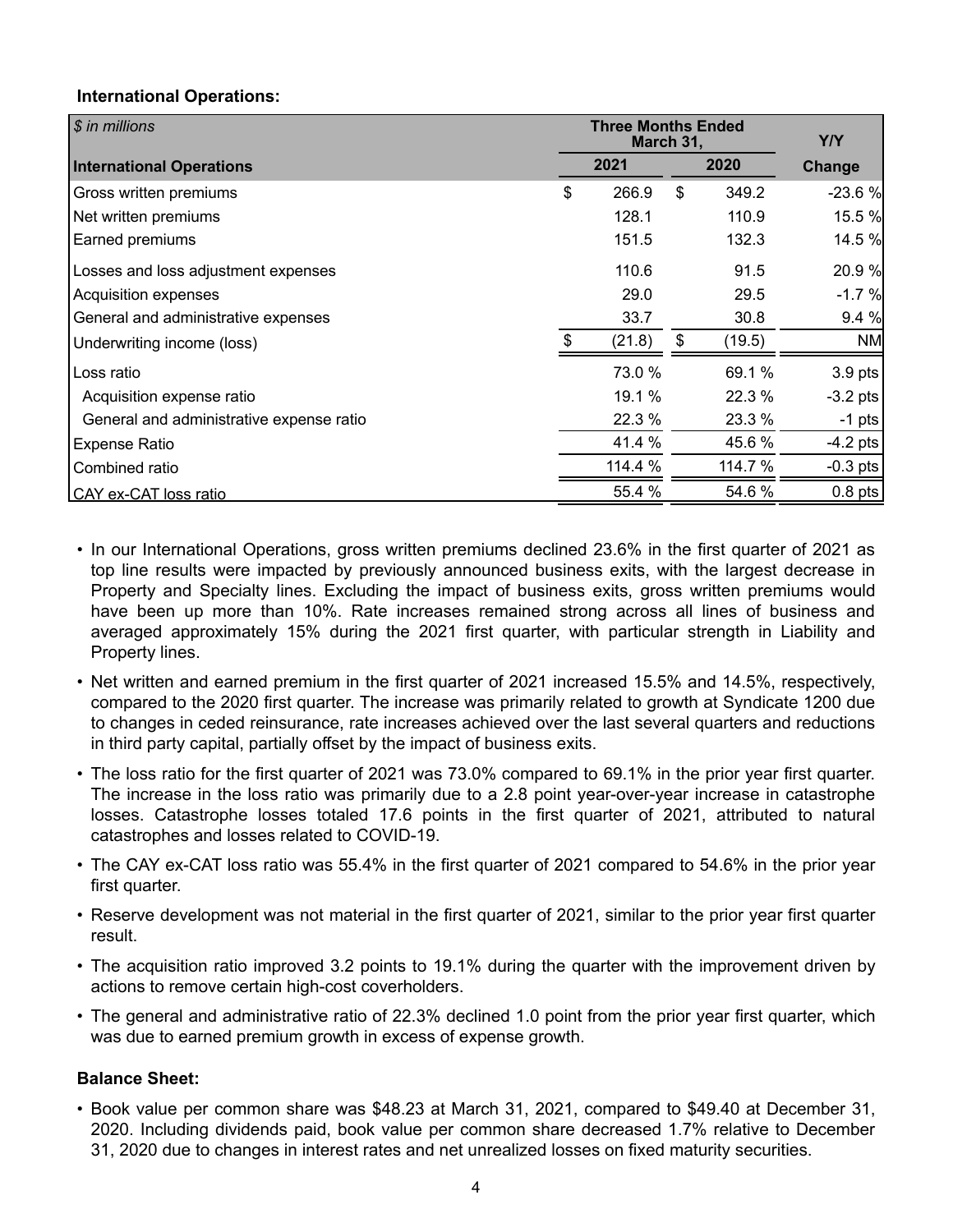## **International Operations:**

| \$ in millions                           |              | <b>Three Months Ended</b><br>March 31, |    | Y/Y     |            |
|------------------------------------------|--------------|----------------------------------------|----|---------|------------|
| <b>International Operations</b>          | 2021<br>2020 |                                        |    | Change  |            |
| Gross written premiums                   | \$           | 266.9                                  | \$ | 349.2   | $-23.6%$   |
| Net written premiums                     |              | 128.1                                  |    | 110.9   | 15.5 %     |
| Earned premiums                          |              | 151.5                                  |    | 132.3   | 14.5 %     |
| Losses and loss adjustment expenses      |              | 110.6                                  |    | 91.5    | 20.9%      |
| Acquisition expenses                     |              | 29.0                                   |    | 29.5    | $-1.7%$    |
| General and administrative expenses      |              | 33.7                                   |    | 30.8    | 9.4 %      |
| Underwriting income (loss)               |              | (21.8)                                 | \$ | (19.5)  | <b>NM</b>  |
| Loss ratio                               |              | 73.0 %                                 |    | 69.1 %  | $3.9$ pts  |
| Acquisition expense ratio                |              | 19.1 %                                 |    | 22.3 %  | $-3.2$ pts |
| General and administrative expense ratio |              | 22.3 %                                 |    | 23.3 %  | $-1$ pts   |
| <b>Expense Ratio</b>                     |              | 41.4 %                                 |    | 45.6 %  | $-4.2$ pts |
| Combined ratio                           |              | 114.4 %                                |    | 114.7 % | $-0.3$ pts |
| CAY ex-CAT loss ratio                    |              | 55.4 %                                 |    | 54.6 %  | $0.8$ pts  |

- In our International Operations, gross written premiums declined 23.6% in the first quarter of 2021 as top line results were impacted by previously announced business exits, with the largest decrease in Property and Specialty lines. Excluding the impact of business exits, gross written premiums would have been up more than 10%. Rate increases remained strong across all lines of business and averaged approximately 15% during the 2021 first quarter, with particular strength in Liability and Property lines.
- Net written and earned premium in the first quarter of 2021 increased 15.5% and 14.5%, respectively, compared to the 2020 first quarter. The increase was primarily related to growth at Syndicate 1200 due to changes in ceded reinsurance, rate increases achieved over the last several quarters and reductions in third party capital, partially offset by the impact of business exits.
- The loss ratio for the first quarter of 2021 was 73.0% compared to 69.1% in the prior year first quarter. The increase in the loss ratio was primarily due to a 2.8 point year-over-year increase in catastrophe losses. Catastrophe losses totaled 17.6 points in the first quarter of 2021, attributed to natural catastrophes and losses related to COVID-19.
- The CAY ex-CAT loss ratio was 55.4% in the first quarter of 2021 compared to 54.6% in the prior year first quarter.
- Reserve development was not material in the first quarter of 2021, similar to the prior year first quarter result.
- The acquisition ratio improved 3.2 points to 19.1% during the quarter with the improvement driven by actions to remove certain high-cost coverholders.
- The general and administrative ratio of 22.3% declined 1.0 point from the prior year first quarter, which was due to earned premium growth in excess of expense growth.

# **Balance Sheet:**

• Book value per common share was \$48.23 at March 31, 2021, compared to \$49.40 at December 31, 2020. Including dividends paid, book value per common share decreased 1.7% relative to December 31, 2020 due to changes in interest rates and net unrealized losses on fixed maturity securities.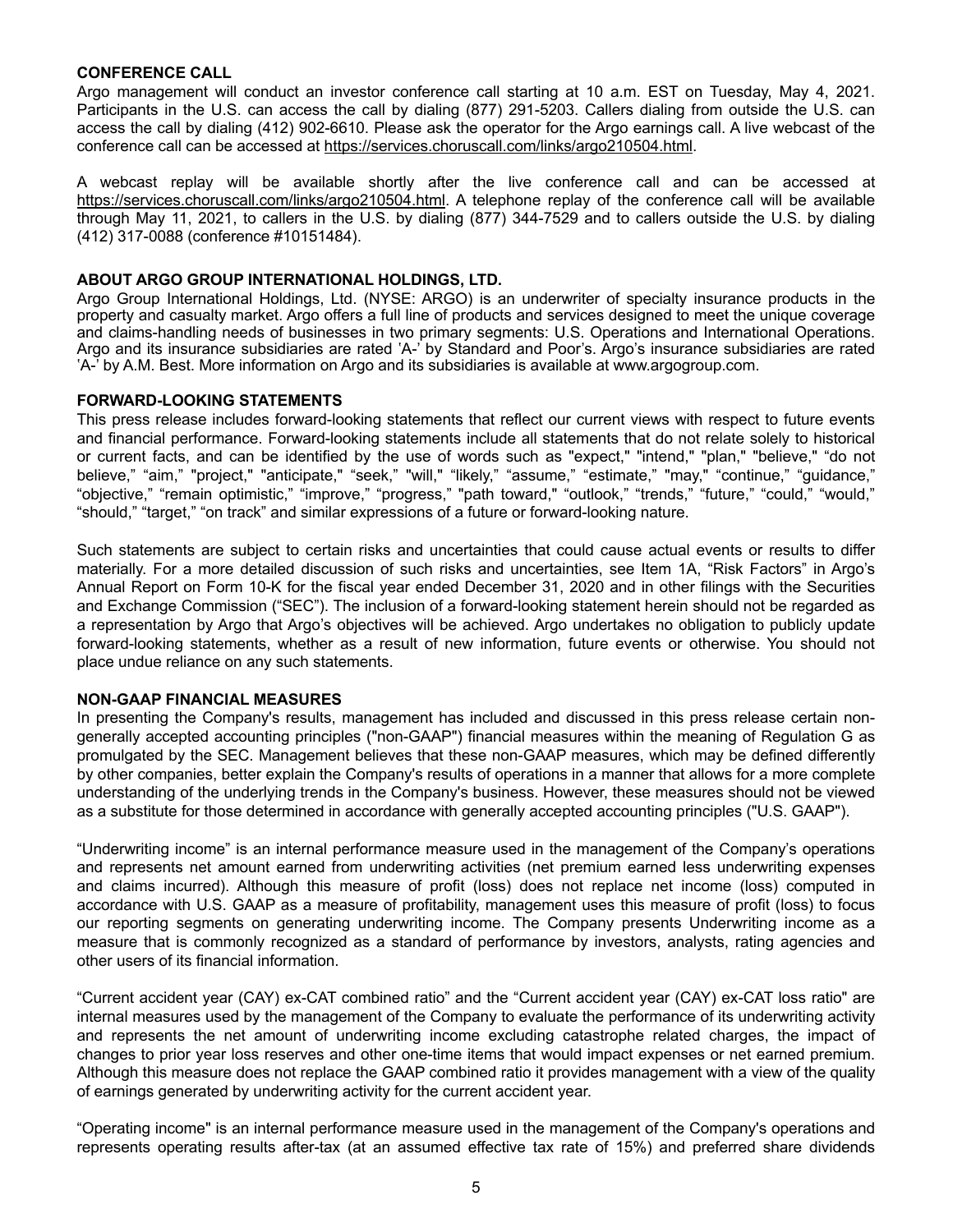### **CONFERENCE CALL**

Argo management will conduct an investor conference call starting at 10 a.m. EST on Tuesday, May 4, 2021. Participants in the U.S. can access the call by dialing (877) 291-5203. Callers dialing from outside the U.S. can access the call by dialing (412) 902-6610. Please ask the operator for the Argo earnings call. A live webcast of the conference call can be accessed at https://services.choruscall.com/links/argo210504.html.

A webcast replay will be available shortly after the live conference call and can be accessed at https://services.choruscall.com/links/argo210504.html. A telephone replay of the conference call will be available through May 11, 2021, to callers in the U.S. by dialing (877) 344-7529 and to callers outside the U.S. by dialing (412) 317-0088 (conference #10151484).

### **ABOUT ARGO GROUP INTERNATIONAL HOLDINGS, LTD.**

Argo Group International Holdings, Ltd. (NYSE: ARGO) is an underwriter of specialty insurance products in the property and casualty market. Argo offers a full line of products and services designed to meet the unique coverage and claims-handling needs of businesses in two primary segments: U.S. Operations and International Operations. Argo and its insurance subsidiaries are rated 'A-' by Standard and Poor's. Argo's insurance subsidiaries are rated 'A-' by A.M. Best. More information on Argo and its subsidiaries is available at www.argogroup.com.

### **FORWARD-LOOKING STATEMENTS**

This press release includes forward-looking statements that reflect our current views with respect to future events and financial performance. Forward-looking statements include all statements that do not relate solely to historical or current facts, and can be identified by the use of words such as "expect," "intend," "plan," "believe," "do not believe," "aim," "project," "anticipate," "seek," "will," "likely," "assume," "estimate," "may," "continue," "guidance," "objective," "remain optimistic," "improve," "progress," "path toward," "outlook," "trends," "future," "could," "would," "should," "target," "on track" and similar expressions of a future or forward-looking nature.

Such statements are subject to certain risks and uncertainties that could cause actual events or results to differ materially. For a more detailed discussion of such risks and uncertainties, see Item 1A, "Risk Factors" in Argo's Annual Report on Form 10-K for the fiscal year ended December 31, 2020 and in other filings with the Securities and Exchange Commission ("SEC"). The inclusion of a forward-looking statement herein should not be regarded as a representation by Argo that Argo's objectives will be achieved. Argo undertakes no obligation to publicly update forward-looking statements, whether as a result of new information, future events or otherwise. You should not place undue reliance on any such statements.

#### **NON-GAAP FINANCIAL MEASURES**

In presenting the Company's results, management has included and discussed in this press release certain nongenerally accepted accounting principles ("non-GAAP") financial measures within the meaning of Regulation G as promulgated by the SEC. Management believes that these non-GAAP measures, which may be defined differently by other companies, better explain the Company's results of operations in a manner that allows for a more complete understanding of the underlying trends in the Company's business. However, these measures should not be viewed as a substitute for those determined in accordance with generally accepted accounting principles ("U.S. GAAP").

"Underwriting income" is an internal performance measure used in the management of the Company's operations and represents net amount earned from underwriting activities (net premium earned less underwriting expenses and claims incurred). Although this measure of profit (loss) does not replace net income (loss) computed in accordance with U.S. GAAP as a measure of profitability, management uses this measure of profit (loss) to focus our reporting segments on generating underwriting income. The Company presents Underwriting income as a measure that is commonly recognized as a standard of performance by investors, analysts, rating agencies and other users of its financial information.

"Current accident year (CAY) ex-CAT combined ratio" and the "Current accident year (CAY) ex-CAT loss ratio" are internal measures used by the management of the Company to evaluate the performance of its underwriting activity and represents the net amount of underwriting income excluding catastrophe related charges, the impact of changes to prior year loss reserves and other one-time items that would impact expenses or net earned premium. Although this measure does not replace the GAAP combined ratio it provides management with a view of the quality of earnings generated by underwriting activity for the current accident year.

"Operating income" is an internal performance measure used in the management of the Company's operations and represents operating results after-tax (at an assumed effective tax rate of 15%) and preferred share dividends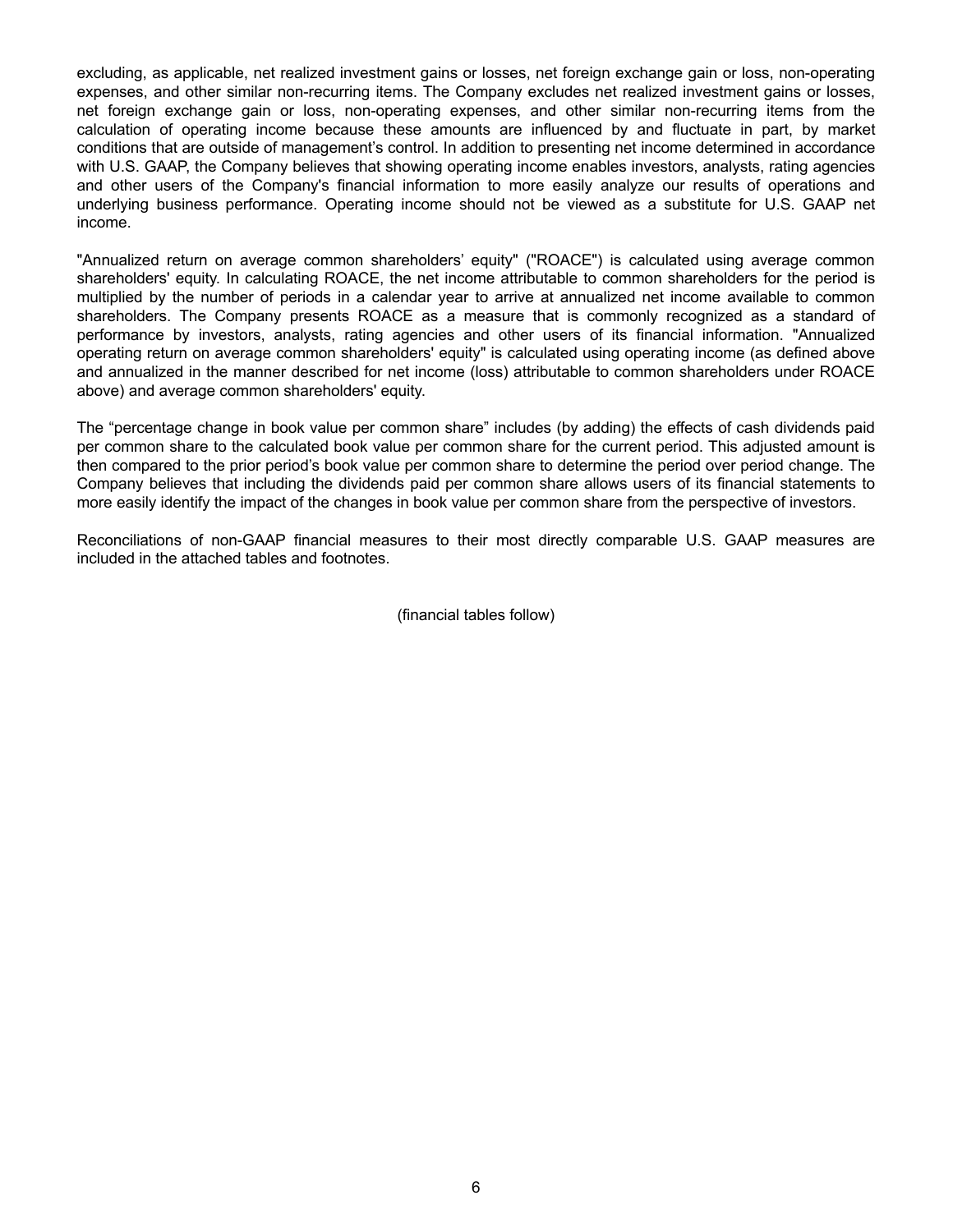excluding, as applicable, net realized investment gains or losses, net foreign exchange gain or loss, non-operating expenses, and other similar non-recurring items. The Company excludes net realized investment gains or losses, net foreign exchange gain or loss, non-operating expenses, and other similar non-recurring items from the calculation of operating income because these amounts are influenced by and fluctuate in part, by market conditions that are outside of management's control. In addition to presenting net income determined in accordance with U.S. GAAP, the Company believes that showing operating income enables investors, analysts, rating agencies and other users of the Company's financial information to more easily analyze our results of operations and underlying business performance. Operating income should not be viewed as a substitute for U.S. GAAP net income.

"Annualized return on average common shareholders' equity" ("ROACE") is calculated using average common shareholders' equity. In calculating ROACE, the net income attributable to common shareholders for the period is multiplied by the number of periods in a calendar year to arrive at annualized net income available to common shareholders. The Company presents ROACE as a measure that is commonly recognized as a standard of performance by investors, analysts, rating agencies and other users of its financial information. "Annualized operating return on average common shareholders' equity" is calculated using operating income (as defined above and annualized in the manner described for net income (loss) attributable to common shareholders under ROACE above) and average common shareholders' equity.

The "percentage change in book value per common share" includes (by adding) the effects of cash dividends paid per common share to the calculated book value per common share for the current period. This adjusted amount is then compared to the prior period's book value per common share to determine the period over period change. The Company believes that including the dividends paid per common share allows users of its financial statements to more easily identify the impact of the changes in book value per common share from the perspective of investors.

Reconciliations of non-GAAP financial measures to their most directly comparable U.S. GAAP measures are included in the attached tables and footnotes.

(financial tables follow)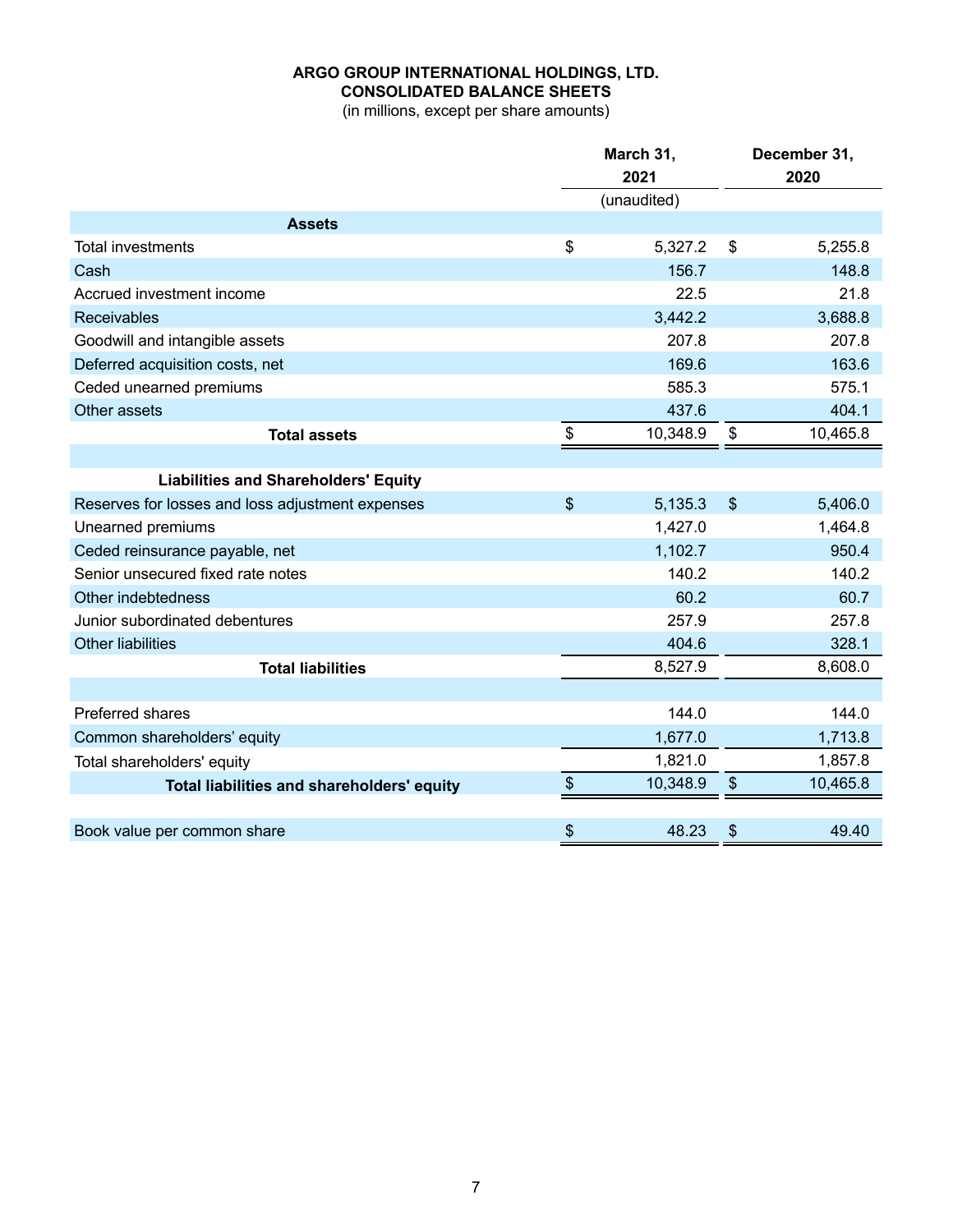# **ARGO GROUP INTERNATIONAL HOLDINGS, LTD. CONSOLIDATED BALANCE SHEETS**

(in millions, except per share amounts)

|                                                  |       | March 31,   | December 31,  |          |
|--------------------------------------------------|-------|-------------|---------------|----------|
|                                                  |       | 2021        |               | 2020     |
|                                                  |       | (unaudited) |               |          |
| <b>Assets</b>                                    |       |             |               |          |
| <b>Total investments</b>                         | \$    | 5,327.2     | $\$\$         | 5,255.8  |
| Cash                                             |       | 156.7       |               | 148.8    |
| Accrued investment income                        |       | 22.5        |               | 21.8     |
| <b>Receivables</b>                               |       | 3,442.2     |               | 3,688.8  |
| Goodwill and intangible assets                   |       | 207.8       |               | 207.8    |
| Deferred acquisition costs, net                  |       | 169.6       |               | 163.6    |
| Ceded unearned premiums                          |       | 585.3       |               | 575.1    |
| Other assets                                     |       | 437.6       |               | 404.1    |
| <b>Total assets</b>                              | \$    | 10,348.9    | \$            | 10,465.8 |
|                                                  |       |             |               |          |
| <b>Liabilities and Shareholders' Equity</b>      |       |             |               |          |
| Reserves for losses and loss adjustment expenses | $\$\$ | 5,135.3     | $\frac{1}{2}$ | 5,406.0  |
| Unearned premiums                                |       | 1,427.0     |               | 1,464.8  |
| Ceded reinsurance payable, net                   |       | 1,102.7     |               | 950.4    |
| Senior unsecured fixed rate notes                |       | 140.2       |               | 140.2    |
| Other indebtedness                               |       | 60.2        |               | 60.7     |
| Junior subordinated debentures                   |       | 257.9       |               | 257.8    |
| <b>Other liabilities</b>                         |       | 404.6       |               | 328.1    |
| <b>Total liabilities</b>                         |       | 8,527.9     |               | 8,608.0  |
|                                                  |       |             |               |          |
| <b>Preferred shares</b>                          |       | 144.0       |               | 144.0    |
| Common shareholders' equity                      |       | 1,677.0     |               | 1,713.8  |
| Total shareholders' equity                       |       | 1,821.0     |               | 1,857.8  |
| Total liabilities and shareholders' equity       | \$    | 10,348.9    | $\$\$         | 10,465.8 |
|                                                  |       |             |               |          |
| Book value per common share                      | \$    | 48.23       | \$            | 49.40    |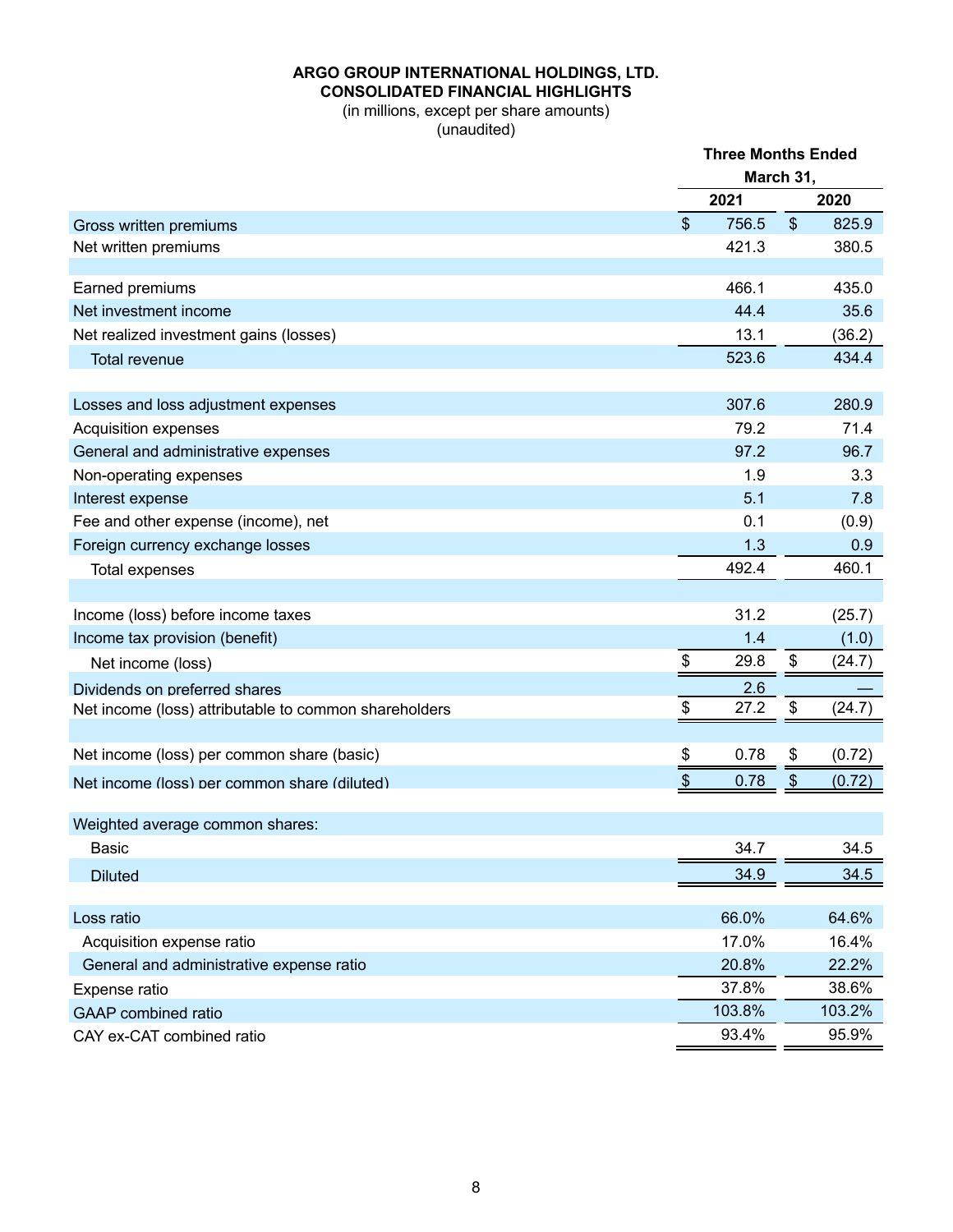# **ARGO GROUP INTERNATIONAL HOLDINGS, LTD. CONSOLIDATED FINANCIAL HIGHLIGHTS**

(in millions, except per share amounts) (unaudited)

|                                                       |               | <b>Three Months Ended</b> |                           |        |  |
|-------------------------------------------------------|---------------|---------------------------|---------------------------|--------|--|
|                                                       |               |                           | March 31,                 |        |  |
|                                                       |               | 2021                      |                           | 2020   |  |
| Gross written premiums                                | $\mathcal{S}$ | 756.5                     | $\boldsymbol{\mathsf{S}}$ | 825.9  |  |
| Net written premiums                                  |               | 421.3                     |                           | 380.5  |  |
|                                                       |               |                           |                           |        |  |
| Earned premiums                                       |               | 466.1                     |                           | 435.0  |  |
| Net investment income                                 |               | 44.4                      |                           | 35.6   |  |
| Net realized investment gains (losses)                |               | 13.1                      |                           | (36.2) |  |
| <b>Total revenue</b>                                  |               | 523.6                     |                           | 434.4  |  |
| Losses and loss adjustment expenses                   |               | 307.6                     |                           | 280.9  |  |
| Acquisition expenses                                  |               | 79.2                      |                           | 71.4   |  |
| General and administrative expenses                   |               | 97.2                      |                           | 96.7   |  |
| Non-operating expenses                                |               | 1.9                       |                           | 3.3    |  |
| Interest expense                                      |               | 5.1                       |                           | 7.8    |  |
| Fee and other expense (income), net                   |               | 0.1                       |                           | (0.9)  |  |
| Foreign currency exchange losses                      |               | 1.3                       |                           | 0.9    |  |
| Total expenses                                        |               | 492.4                     |                           | 460.1  |  |
|                                                       |               |                           |                           |        |  |
| Income (loss) before income taxes                     |               | 31.2                      |                           | (25.7) |  |
| Income tax provision (benefit)                        |               | 1.4                       |                           | (1.0)  |  |
| Net income (loss)                                     | \$            | 29.8                      | \$                        | (24.7) |  |
| Dividends on preferred shares                         |               | 2.6                       |                           |        |  |
| Net income (loss) attributable to common shareholders | \$            | 27.2                      | \$                        | (24.7) |  |
|                                                       |               |                           |                           |        |  |
| Net income (loss) per common share (basic)            | \$            | 0.78                      | \$                        | (0.72) |  |
| Net income (loss) per common share (diluted)          | \$            | 0.78                      | $\frac{1}{2}$             | (0.72) |  |
| Weighted average common shares:                       |               |                           |                           |        |  |
| <b>Basic</b>                                          |               | 34.7                      |                           | 34.5   |  |
| <b>Diluted</b>                                        |               | 34.9                      |                           | 34.5   |  |
|                                                       |               |                           |                           |        |  |
| Loss ratio                                            |               | 66.0%                     |                           | 64.6%  |  |
| Acquisition expense ratio                             |               | 17.0%                     |                           | 16.4%  |  |
| General and administrative expense ratio              |               | 20.8%                     |                           | 22.2%  |  |
| Expense ratio                                         |               | 37.8%                     |                           | 38.6%  |  |
| <b>GAAP</b> combined ratio                            |               | 103.8%                    |                           | 103.2% |  |
| CAY ex-CAT combined ratio                             |               | 93.4%                     |                           | 95.9%  |  |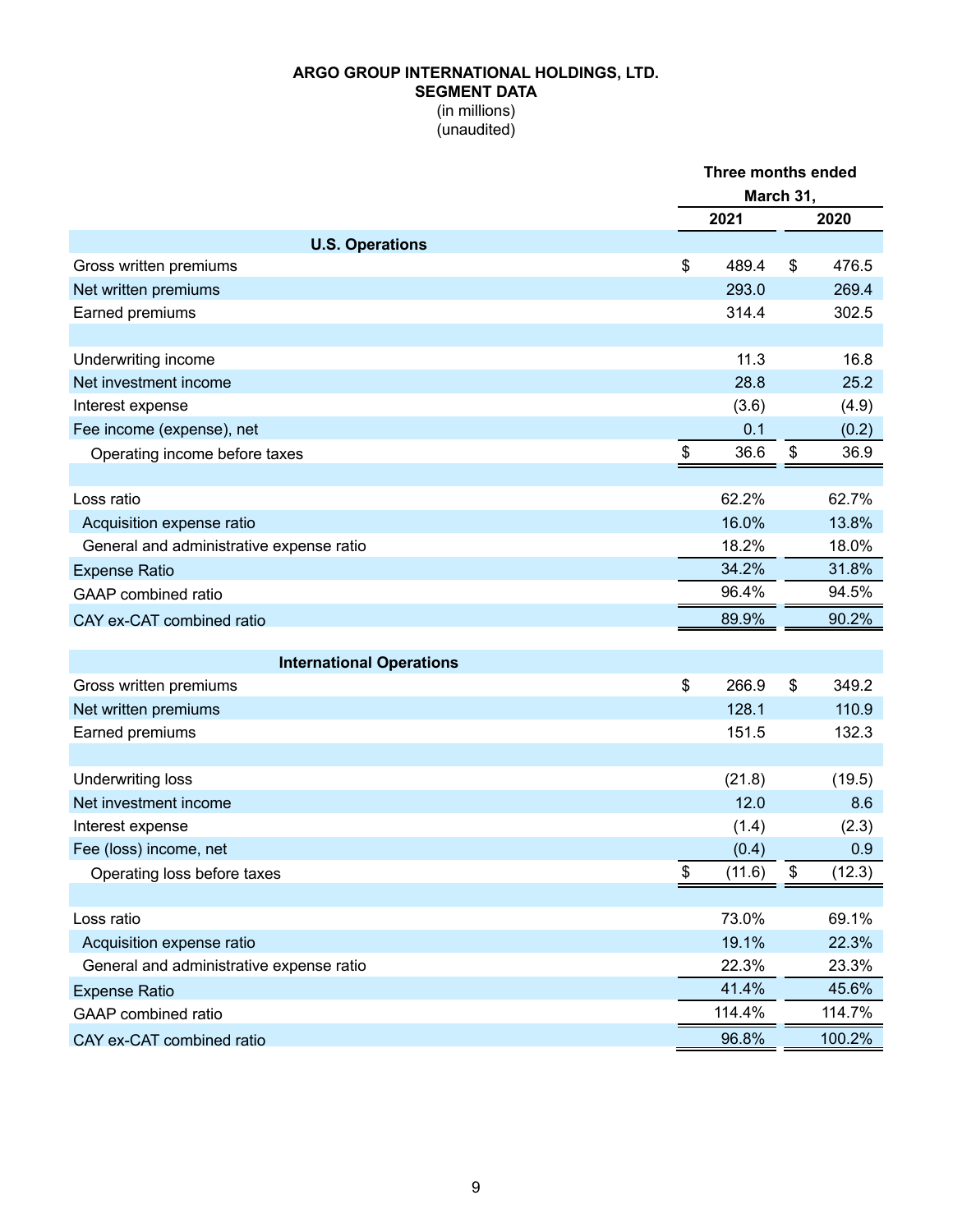## **ARGO GROUP INTERNATIONAL HOLDINGS, LTD. SEGMENT DATA** (in millions)

(unaudited)

|                                          | Three months ended<br>March 31, |    |        |  |
|------------------------------------------|---------------------------------|----|--------|--|
|                                          | 2021                            |    | 2020   |  |
| <b>U.S. Operations</b>                   |                                 |    |        |  |
| Gross written premiums                   | \$<br>489.4                     | \$ | 476.5  |  |
| Net written premiums                     | 293.0                           |    | 269.4  |  |
| Earned premiums                          | 314.4                           |    | 302.5  |  |
| Underwriting income                      | 11.3                            |    | 16.8   |  |
| Net investment income                    | 28.8                            |    | 25.2   |  |
| Interest expense                         | (3.6)                           |    | (4.9)  |  |
| Fee income (expense), net                | 0.1                             |    | (0.2)  |  |
| Operating income before taxes            | \$<br>36.6                      | \$ | 36.9   |  |
|                                          |                                 |    |        |  |
| Loss ratio                               | 62.2%                           |    | 62.7%  |  |
| Acquisition expense ratio                | 16.0%                           |    | 13.8%  |  |
| General and administrative expense ratio | 18.2%                           |    | 18.0%  |  |
| <b>Expense Ratio</b>                     | 34.2%                           |    | 31.8%  |  |
| <b>GAAP</b> combined ratio               | 96.4%                           |    | 94.5%  |  |
| CAY ex-CAT combined ratio                | 89.9%                           |    | 90.2%  |  |
| <b>International Operations</b>          |                                 |    |        |  |
| Gross written premiums                   | \$<br>266.9                     | \$ | 349.2  |  |
| Net written premiums                     | 128.1                           |    | 110.9  |  |
| Earned premiums                          | 151.5                           |    | 132.3  |  |
|                                          |                                 |    |        |  |
| <b>Underwriting loss</b>                 | (21.8)                          |    | (19.5) |  |
| Net investment income                    | 12.0                            |    | 8.6    |  |
| Interest expense                         | (1.4)                           |    | (2.3)  |  |
| Fee (loss) income, net                   | (0.4)                           |    | 0.9    |  |
| Operating loss before taxes              | \$<br>(11.6)                    | \$ | (12.3) |  |
| Loss ratio                               | 73.0%                           |    | 69.1%  |  |
| Acquisition expense ratio                | 19.1%                           |    | 22.3%  |  |
| General and administrative expense ratio | 22.3%                           |    | 23.3%  |  |
| <b>Expense Ratio</b>                     | 41.4%                           |    | 45.6%  |  |
| GAAP combined ratio                      | 114.4%                          |    | 114.7% |  |
| CAY ex-CAT combined ratio                | 96.8%                           |    | 100.2% |  |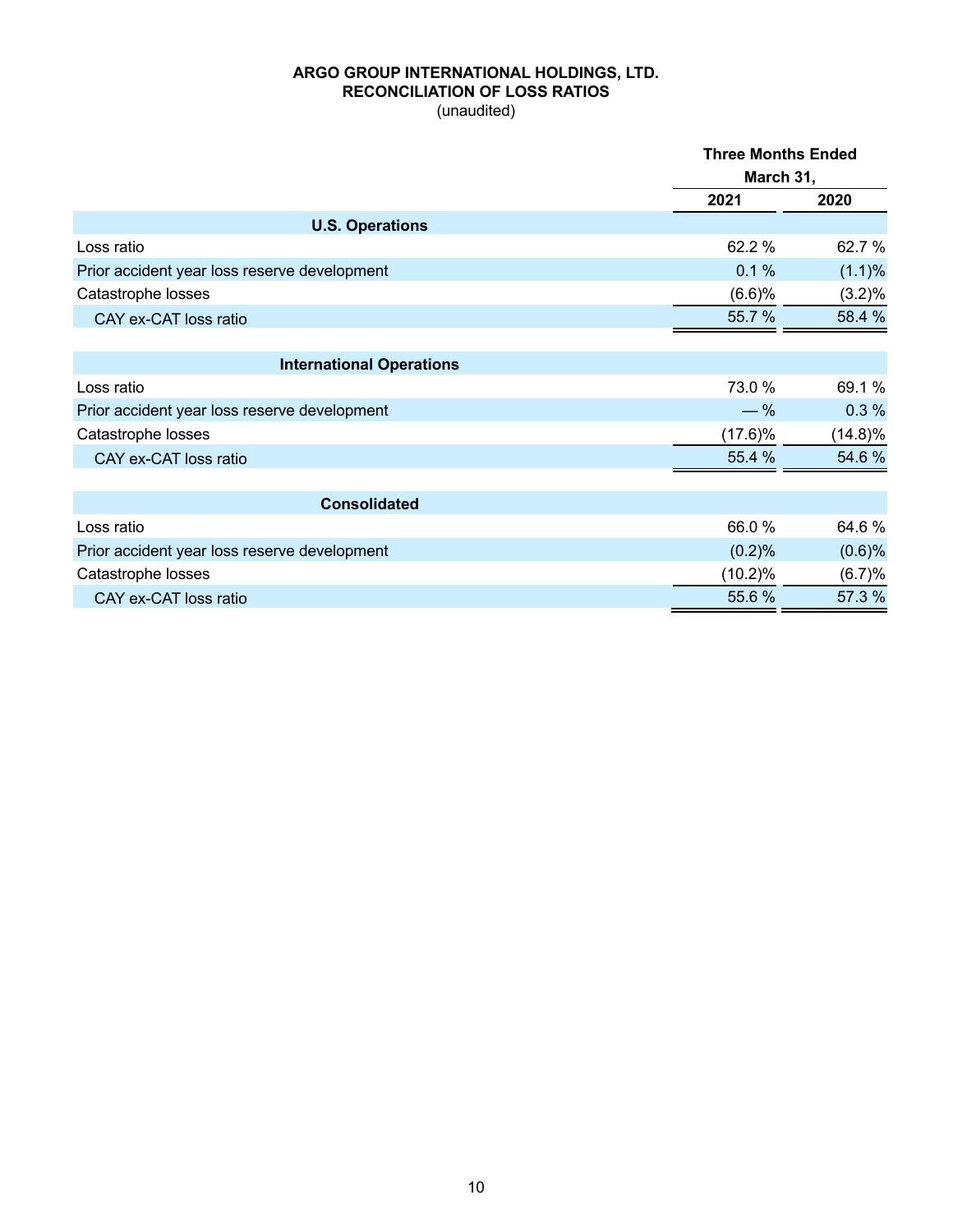## **ARGO GROUP INTERNATIONAL HOLDINGS, LTD. RECONCILIATION OF LOSS RATIOS**

(unaudited)

|                                              | <b>Three Months Ended</b> |            |
|----------------------------------------------|---------------------------|------------|
|                                              | March 31,                 |            |
|                                              | 2021                      | 2020       |
| <b>U.S. Operations</b>                       |                           |            |
| Loss ratio                                   | 62.2%                     | 62.7 %     |
| Prior accident year loss reserve development | 0.1%                      | (1.1)%     |
| Catastrophe losses                           | (6.6)%                    | (3.2)%     |
| CAY ex-CAT loss ratio                        | 55.7%                     | 58.4 %     |
| <b>International Operations</b>              |                           |            |
| Loss ratio                                   | 73.0 %                    | 69.1 %     |
| Prior accident year loss reserve development | $-$ %                     | 0.3%       |
| Catastrophe losses                           | $(17.6)\%$                | $(14.8)\%$ |
| CAY ex-CAT loss ratio                        | 55.4 %                    | 54.6 %     |
| <b>Consolidated</b>                          |                           |            |
| Loss ratio                                   | 66.0%                     | 64.6%      |
| Prior accident year loss reserve development | (0.2)%                    | $(0.6)$ %  |
| Catastrophe losses                           | $(10.2)\%$                | (6.7)%     |
| CAY ex-CAT loss ratio                        | 55.6 %                    | 57.3 %     |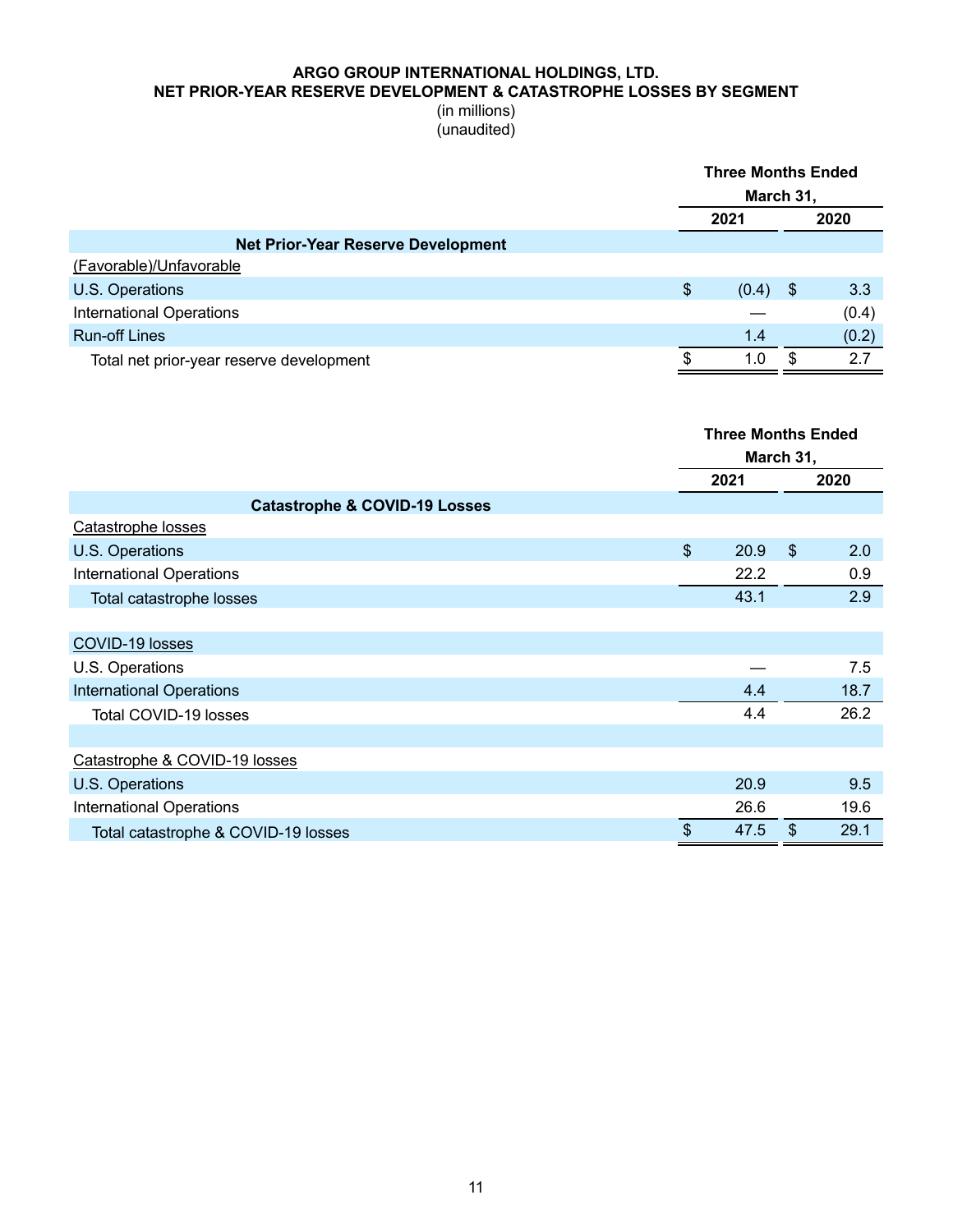#### **ARGO GROUP INTERNATIONAL HOLDINGS, LTD. NET PRIOR-YEAR RESERVE DEVELOPMENT & CATASTROPHE LOSSES BY SEGMENT**

|                                           | <b>Three Months Ended</b><br>March 31, |      |       |
|-------------------------------------------|----------------------------------------|------|-------|
|                                           | 2021                                   | 2020 |       |
| <b>Net Prior-Year Reserve Development</b> |                                        |      |       |
| (Favorable)/Unfavorable                   |                                        |      |       |
| <b>U.S. Operations</b>                    | \$<br>$(0.4)$ \$                       |      | 3.3   |
| <b>International Operations</b>           |                                        |      | (0.4) |
| <b>Run-off Lines</b>                      | 1.4                                    |      | (0.2) |
| Total net prior-year reserve development  | 1.0                                    | \$.  | 2.7   |
|                                           |                                        |      |       |

|                                          |                           | <b>Three Months Ended</b> |                           |      |  |
|------------------------------------------|---------------------------|---------------------------|---------------------------|------|--|
|                                          |                           | March 31,                 |                           |      |  |
|                                          |                           | 2021                      |                           | 2020 |  |
| <b>Catastrophe &amp; COVID-19 Losses</b> |                           |                           |                           |      |  |
| Catastrophe losses                       |                           |                           |                           |      |  |
| U.S. Operations                          | $\boldsymbol{\mathsf{S}}$ | 20.9                      | $\boldsymbol{\mathsf{S}}$ | 2.0  |  |
| <b>International Operations</b>          |                           | 22.2                      |                           | 0.9  |  |
| Total catastrophe losses                 |                           | 43.1                      |                           | 2.9  |  |
|                                          |                           |                           |                           |      |  |
| COVID-19 losses                          |                           |                           |                           |      |  |
| U.S. Operations                          |                           |                           |                           | 7.5  |  |
| <b>International Operations</b>          |                           | 4.4                       |                           | 18.7 |  |
| Total COVID-19 losses                    |                           | 4.4                       |                           | 26.2 |  |
|                                          |                           |                           |                           |      |  |
| Catastrophe & COVID-19 losses            |                           |                           |                           |      |  |
| U.S. Operations                          |                           | 20.9                      |                           | 9.5  |  |
| <b>International Operations</b>          |                           | 26.6                      |                           | 19.6 |  |
| Total catastrophe & COVID-19 losses      | \$                        | 47.5                      | $\boldsymbol{\mathsf{S}}$ | 29.1 |  |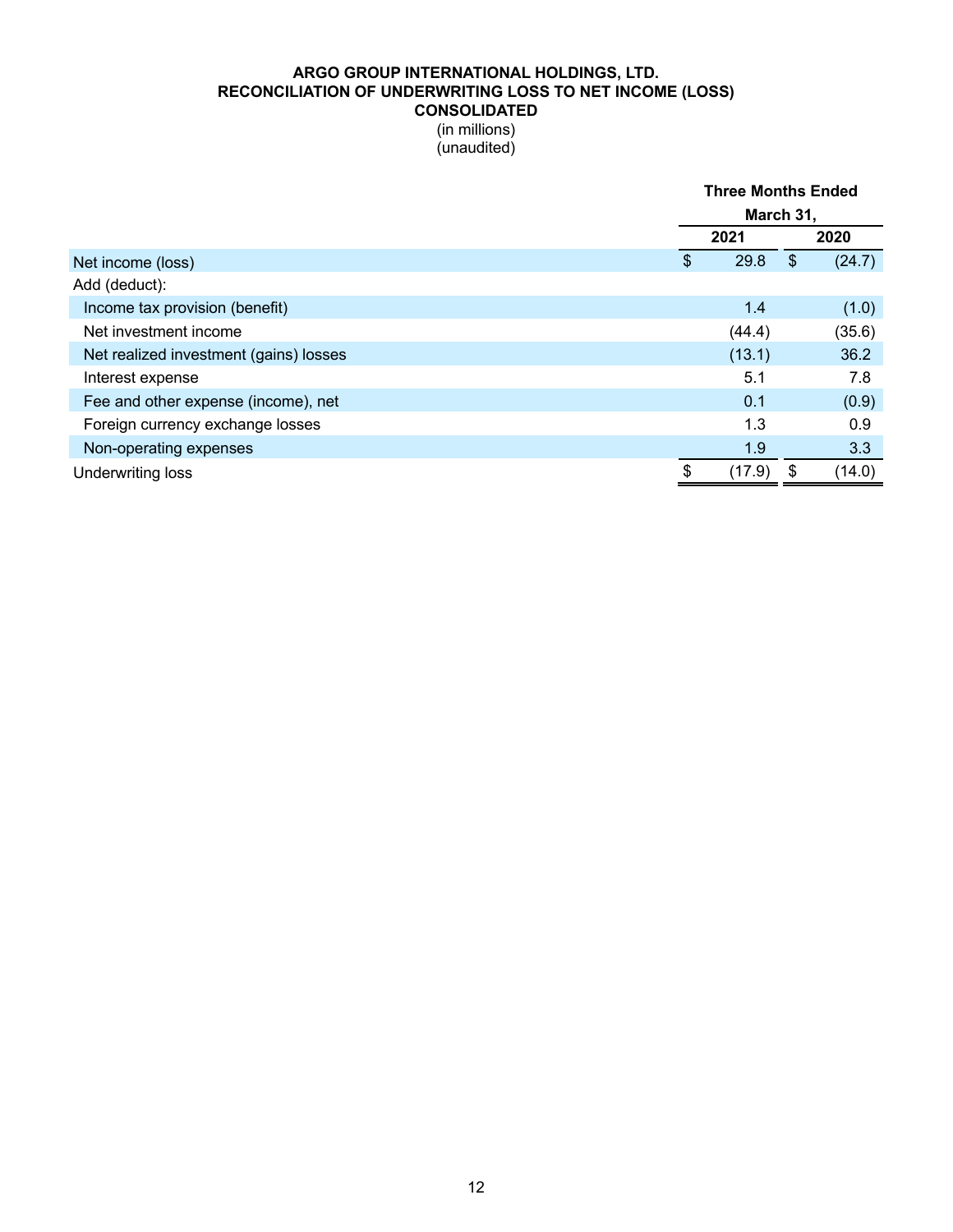## **ARGO GROUP INTERNATIONAL HOLDINGS, LTD. RECONCILIATION OF UNDERWRITING LOSS TO NET INCOME (LOSS) CONSOLIDATED**

|                                        |              | <b>Three Months Ended</b> |        |  |  |  |
|----------------------------------------|--------------|---------------------------|--------|--|--|--|
|                                        |              | March 31,                 |        |  |  |  |
|                                        | 2021         |                           | 2020   |  |  |  |
| Net income (loss)                      | \$<br>29.8   | $\boldsymbol{\mathsf{S}}$ | (24.7) |  |  |  |
| Add (deduct):                          |              |                           |        |  |  |  |
| Income tax provision (benefit)         | 1.4          |                           | (1.0)  |  |  |  |
| Net investment income                  | (44.4)       |                           | (35.6) |  |  |  |
| Net realized investment (gains) losses | (13.1)       |                           | 36.2   |  |  |  |
| Interest expense                       | 5.1          |                           | 7.8    |  |  |  |
| Fee and other expense (income), net    | 0.1          |                           | (0.9)  |  |  |  |
| Foreign currency exchange losses       | 1.3          |                           | 0.9    |  |  |  |
| Non-operating expenses                 | 1.9          |                           | 3.3    |  |  |  |
| Underwriting loss                      | \$<br>(17.9) | \$                        | (14.0) |  |  |  |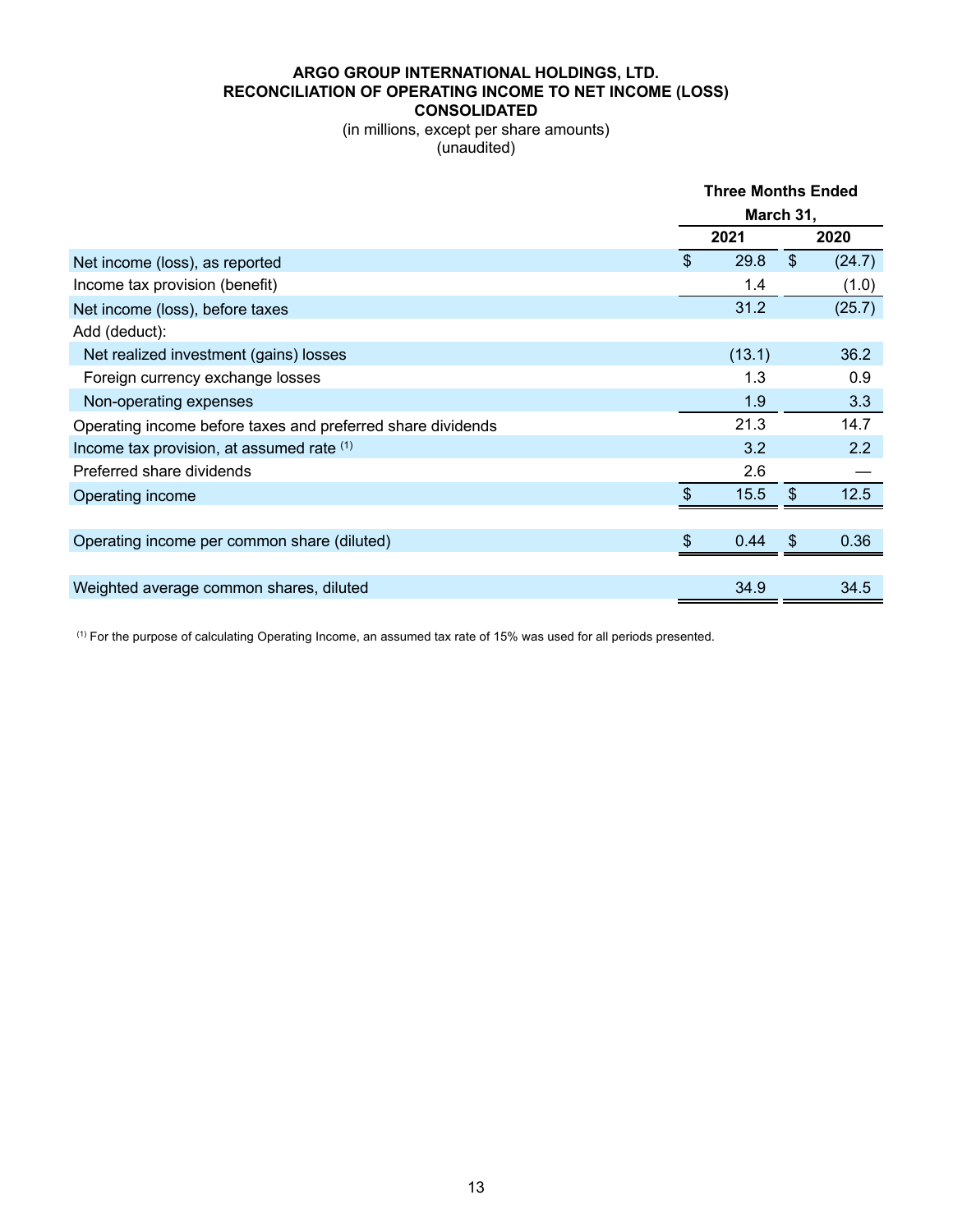## **ARGO GROUP INTERNATIONAL HOLDINGS, LTD. RECONCILIATION OF OPERATING INCOME TO NET INCOME (LOSS) CONSOLIDATED**

(in millions, except per share amounts) (unaudited)

|                                                             | <b>Three Months Ended</b> |        |               |        |
|-------------------------------------------------------------|---------------------------|--------|---------------|--------|
|                                                             | March 31,                 |        |               |        |
|                                                             |                           | 2021   |               | 2020   |
| Net income (loss), as reported                              | \$                        | 29.8   | $\mathcal{S}$ | (24.7) |
| Income tax provision (benefit)                              |                           | 1.4    |               | (1.0)  |
| Net income (loss), before taxes                             |                           | 31.2   |               | (25.7) |
| Add (deduct):                                               |                           |        |               |        |
| Net realized investment (gains) losses                      |                           | (13.1) |               | 36.2   |
| Foreign currency exchange losses                            |                           | 1.3    |               | 0.9    |
| Non-operating expenses                                      |                           | 1.9    |               | 3.3    |
| Operating income before taxes and preferred share dividends |                           | 21.3   |               | 14.7   |
| Income tax provision, at assumed rate (1)                   |                           | 3.2    |               | 2.2    |
| Preferred share dividends                                   |                           | 2.6    |               |        |
| Operating income                                            | $\mathfrak{L}$            | 15.5   | \$            | 12.5   |
|                                                             |                           |        |               |        |
| Operating income per common share (diluted)                 | \$                        | 0.44   | $\frac{1}{2}$ | 0.36   |
|                                                             |                           |        |               |        |
| Weighted average common shares, diluted                     |                           | 34.9   |               | 34.5   |

(1) For the purpose of calculating Operating Income, an assumed tax rate of 15% was used for all periods presented.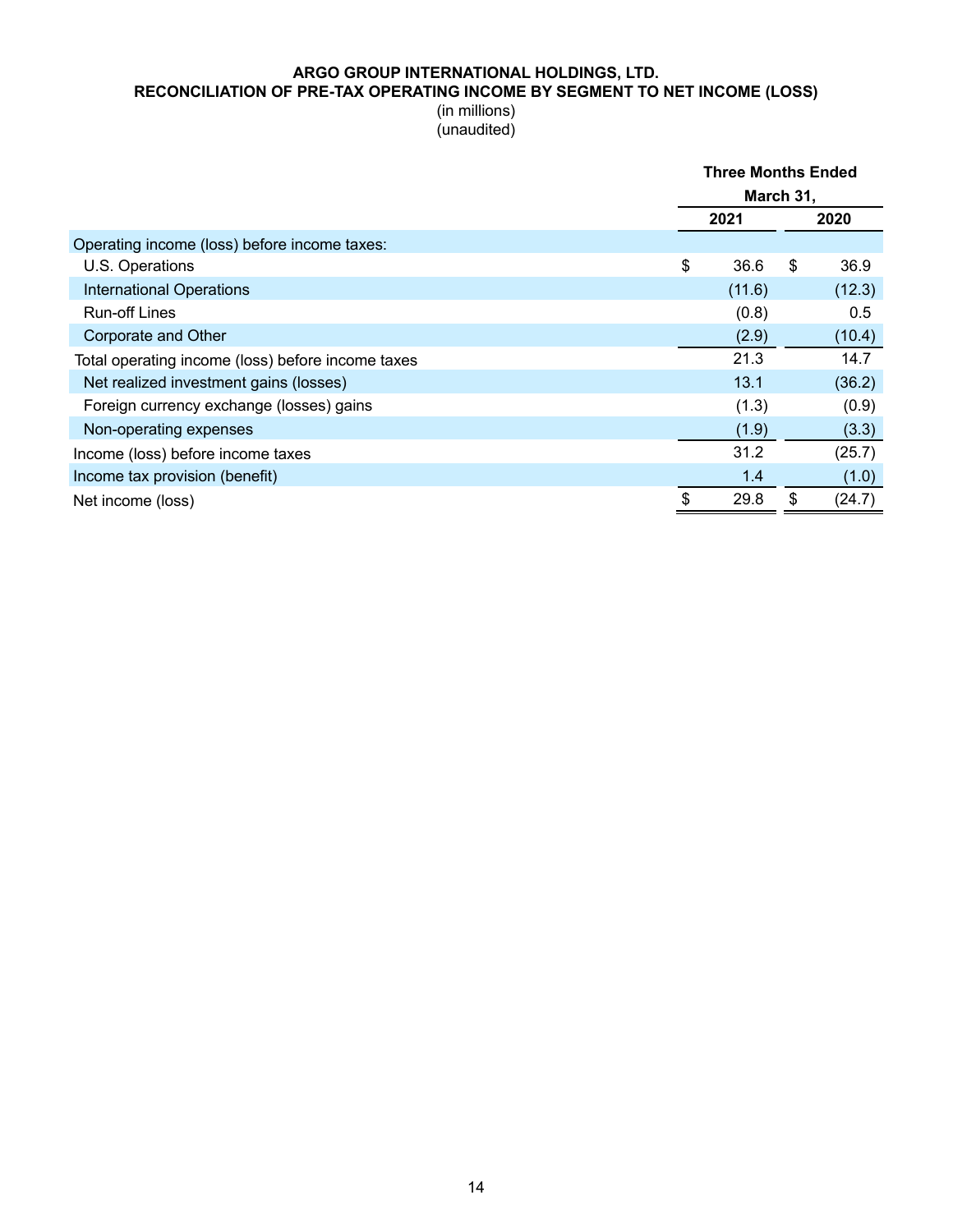#### **ARGO GROUP INTERNATIONAL HOLDINGS, LTD. RECONCILIATION OF PRE-TAX OPERATING INCOME BY SEGMENT TO NET INCOME (LOSS)**

|                                                   | <b>Three Months Ended</b> |        |    |        |
|---------------------------------------------------|---------------------------|--------|----|--------|
|                                                   | March 31,                 |        |    |        |
|                                                   |                           | 2021   |    | 2020   |
| Operating income (loss) before income taxes:      |                           |        |    |        |
| U.S. Operations                                   | \$                        | 36.6   | \$ | 36.9   |
| <b>International Operations</b>                   |                           | (11.6) |    | (12.3) |
| <b>Run-off Lines</b>                              |                           | (0.8)  |    | 0.5    |
| Corporate and Other                               |                           | (2.9)  |    | (10.4) |
| Total operating income (loss) before income taxes |                           | 21.3   |    | 14.7   |
| Net realized investment gains (losses)            |                           | 13.1   |    | (36.2) |
| Foreign currency exchange (losses) gains          |                           | (1.3)  |    | (0.9)  |
| Non-operating expenses                            |                           | (1.9)  |    | (3.3)  |
| Income (loss) before income taxes                 |                           | 31.2   |    | (25.7) |
| Income tax provision (benefit)                    |                           | 1.4    |    | (1.0)  |
| Net income (loss)                                 | \$                        | 29.8   | \$ | (24.7) |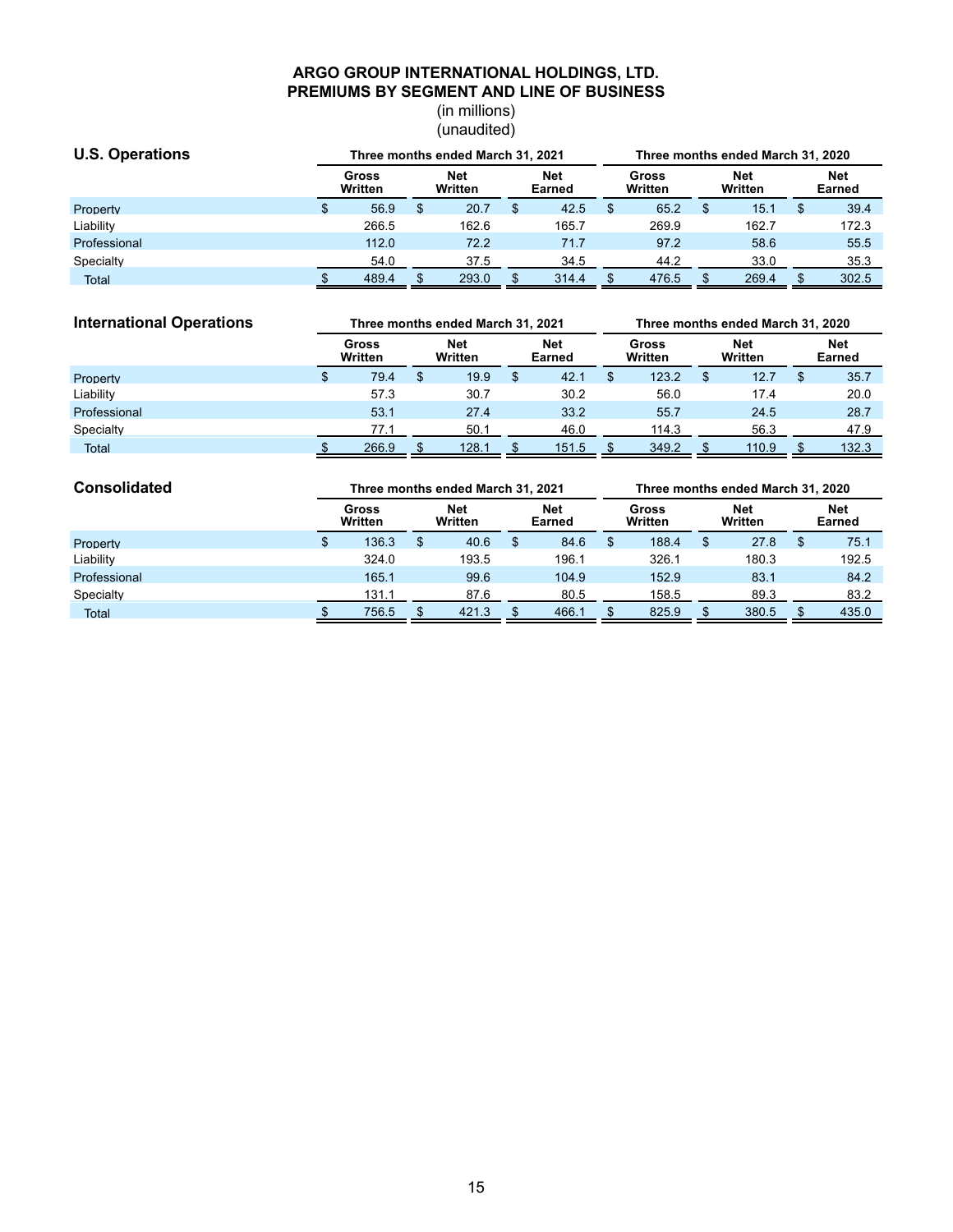### **ARGO GROUP INTERNATIONAL HOLDINGS, LTD. PREMIUMS BY SEGMENT AND LINE OF BUSINESS**

| <b>U.S. Operations</b> |                  | Three months ended March 31, 2021 |                |       |                      |       |                  | Three months ended March 31, 2020 |                       |       |                      |       |  |  |
|------------------------|------------------|-----------------------------------|----------------|-------|----------------------|-------|------------------|-----------------------------------|-----------------------|-------|----------------------|-------|--|--|
|                        | Gross<br>Written |                                   | Net<br>Written |       | <b>Net</b><br>Earned |       | Gross<br>Written |                                   | <b>Net</b><br>Written |       | <b>Net</b><br>Earned |       |  |  |
| Property               |                  | 56.9                              | S              | 20.7  |                      | 42.5  |                  | 65.2                              |                       | 15.1  |                      | 39.4  |  |  |
| Liability              |                  | 266.5                             |                | 162.6 |                      | 165.7 |                  | 269.9                             |                       | 162.7 |                      | 172.3 |  |  |
| Professional           |                  | 112.0                             |                | 72.2  |                      | 71.7  |                  | 97.2                              |                       | 58.6  |                      | 55.5  |  |  |
| Specialty              |                  | 54.0                              |                | 37.5  |                      | 34.5  |                  | 44.2                              |                       | 33.0  |                      | 35.3  |  |  |
| <b>Total</b>           |                  | 489.4                             |                | 293.0 |                      | 314.4 |                  | 476.5                             |                       | 269.4 |                      | 302.5 |  |  |

| <b>International Operations</b> | Three months ended March 31, 2021 |   |                |  |                      |  | Three months ended March 31, 2020 |  |                |  |                             |  |  |
|---------------------------------|-----------------------------------|---|----------------|--|----------------------|--|-----------------------------------|--|----------------|--|-----------------------------|--|--|
|                                 | Gross<br>Written                  |   | Net<br>Written |  | <b>Net</b><br>Earned |  | Gross<br>Written                  |  | Net<br>Written |  | <b>Net</b><br><b>Earned</b> |  |  |
| Property                        | 79.4                              | S | 19.9           |  | 42.1                 |  | 123.2                             |  | 12.7           |  | 35.7                        |  |  |
| Liability                       | 57.3                              |   | 30.7           |  | 30.2                 |  | 56.0                              |  | 17.4           |  | 20.0                        |  |  |
| Professional                    | 53.1                              |   | 27.4           |  | 33.2                 |  | 55.7                              |  | 24.5           |  | 28.7                        |  |  |
| Specialty                       | 77.1                              |   | 50.1           |  | 46.0                 |  | 114.3                             |  | 56.3           |  | 47.9                        |  |  |
| <b>Total</b>                    | 266.9                             |   | 128.1          |  | 151.5                |  | 349.2                             |  | 110.9          |  | 132.3                       |  |  |

| <b>Consolidated</b> | Three months ended March 31, 2021 |                  |   |                       |  |               | Three months ended March 31, 2020 |                         |   |                       |  |                      |  |
|---------------------|-----------------------------------|------------------|---|-----------------------|--|---------------|-----------------------------------|-------------------------|---|-----------------------|--|----------------------|--|
|                     |                                   | Gross<br>Written |   | <b>Net</b><br>Written |  | Net<br>Earned |                                   | <b>Gross</b><br>Written |   | <b>Net</b><br>Written |  | <b>Net</b><br>Earned |  |
| Property            |                                   | 136.3            | Ф | 40.6                  |  | 84.6          |                                   | 188.4                   | S | 27.8                  |  | 75.1                 |  |
| Liability           |                                   | 324.0            |   | 193.5                 |  | 196.1         |                                   | 326.1                   |   | 180.3                 |  | 192.5                |  |
| Professional        |                                   | 165.1            |   | 99.6                  |  | 104.9         |                                   | 152.9                   |   | 83.1                  |  | 84.2                 |  |
| Specialty           |                                   | 131.1            |   | 87.6                  |  | 80.5          |                                   | 158.5                   |   | 89.3                  |  | 83.2                 |  |
| <b>Total</b>        |                                   | 756.5            |   | 421.3                 |  | 466.1         |                                   | 825.9                   |   | 380.5                 |  | 435.0                |  |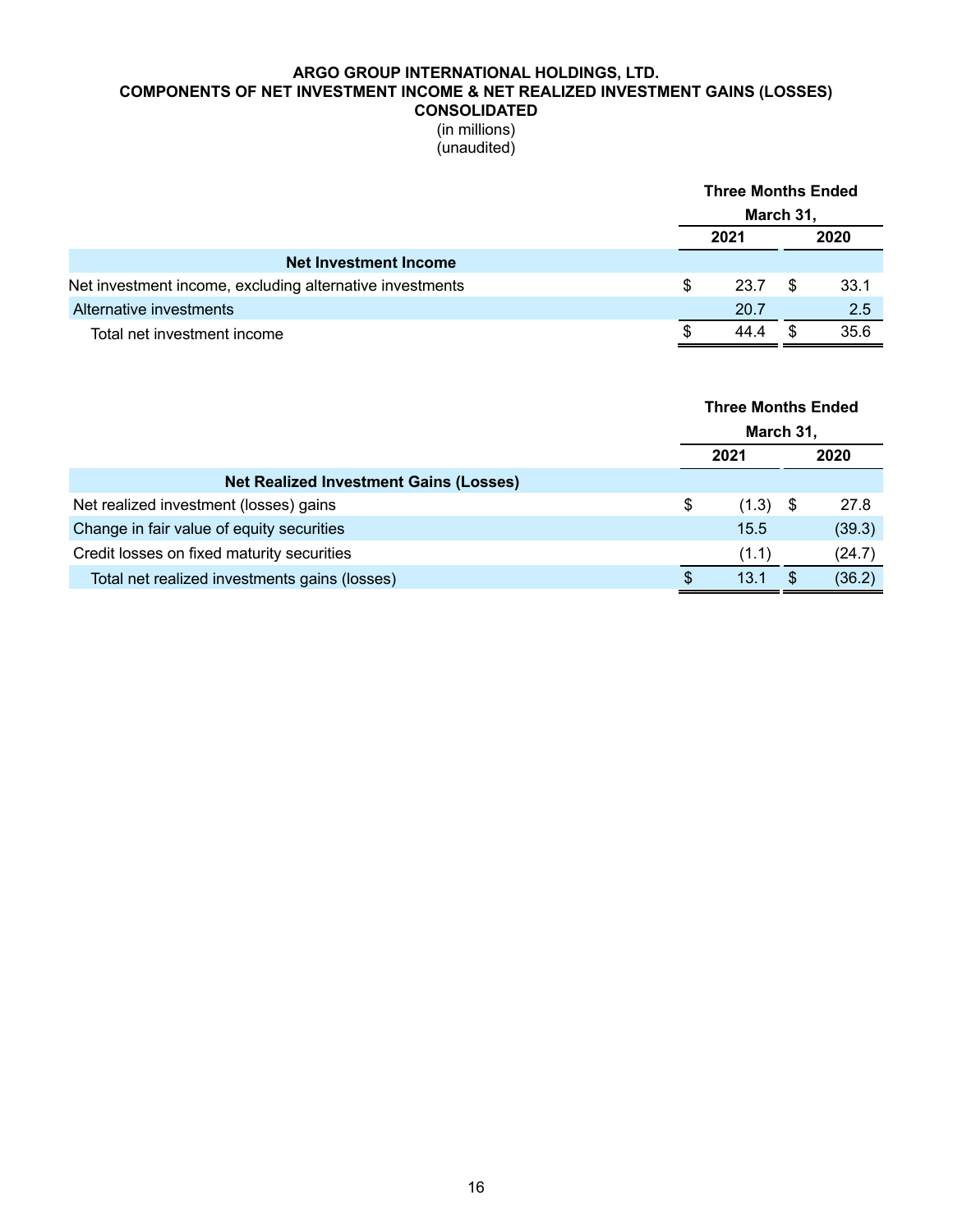### **ARGO GROUP INTERNATIONAL HOLDINGS, LTD. COMPONENTS OF NET INVESTMENT INCOME & NET REALIZED INVESTMENT GAINS (LOSSES) CONSOLIDATED**

|                                                          |   | <b>Three Months Ended</b><br>March 31, |    |      |  |
|----------------------------------------------------------|---|----------------------------------------|----|------|--|
|                                                          |   |                                        |    |      |  |
|                                                          |   | 2021                                   |    | 2020 |  |
| <b>Net Investment Income</b>                             |   |                                        |    |      |  |
| Net investment income, excluding alternative investments | S | 23.7                                   | \$ | 33.1 |  |
| Alternative investments                                  |   | 20.7                                   |    | 2.5  |  |
| Total net investment income                              | S | 44.4                                   |    | 35.6 |  |

|                                               | <b>Three Months Ended</b><br>March 31,<br>2021<br>2020 |       |  |        |
|-----------------------------------------------|--------------------------------------------------------|-------|--|--------|
|                                               |                                                        |       |  |        |
| <b>Net Realized Investment Gains (Losses)</b> |                                                        |       |  |        |
| Net realized investment (losses) gains        | S                                                      | (1.3) |  | 27.8   |
| Change in fair value of equity securities     |                                                        | 15.5  |  | (39.3) |
| Credit losses on fixed maturity securities    |                                                        | (1.1) |  | (24.7) |
| Total net realized investments gains (losses) |                                                        | 13.1  |  | (36.2) |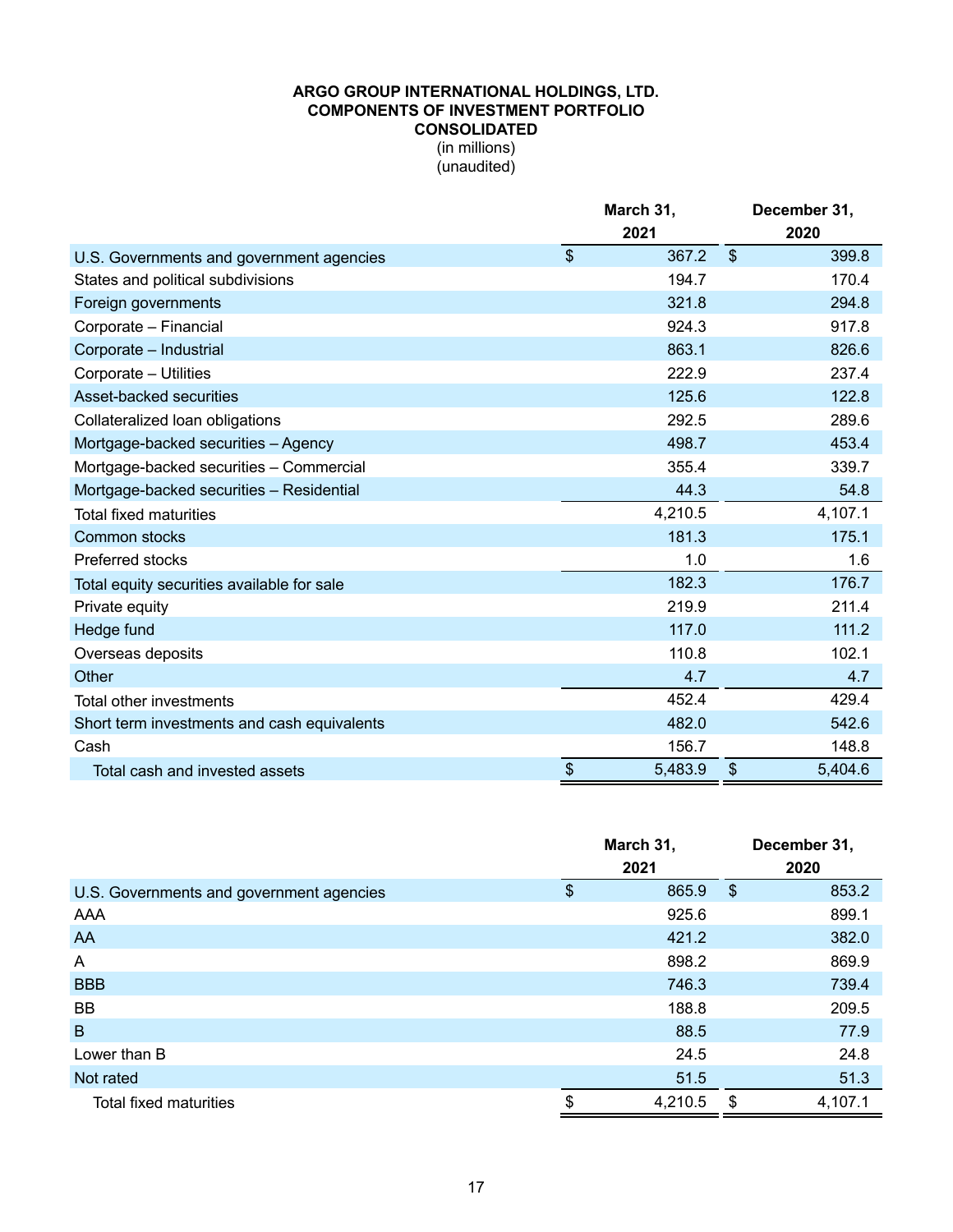### **ARGO GROUP INTERNATIONAL HOLDINGS, LTD. COMPONENTS OF INVESTMENT PORTFOLIO CONSOLIDATED** (in millions) (unaudited)

|                                             | March 31,     |            | December 31, |
|---------------------------------------------|---------------|------------|--------------|
|                                             | 2021          |            | 2020         |
| U.S. Governments and government agencies    | \$<br>367.2   | $\sqrt{3}$ | 399.8        |
| States and political subdivisions           | 194.7         |            | 170.4        |
| Foreign governments                         | 321.8         |            | 294.8        |
| Corporate - Financial                       | 924.3         |            | 917.8        |
| Corporate - Industrial                      | 863.1         |            | 826.6        |
| Corporate - Utilities                       | 222.9         |            | 237.4        |
| Asset-backed securities                     | 125.6         |            | 122.8        |
| Collateralized loan obligations             | 292.5         |            | 289.6        |
| Mortgage-backed securities - Agency         | 498.7         |            | 453.4        |
| Mortgage-backed securities - Commercial     | 355.4         |            | 339.7        |
| Mortgage-backed securities - Residential    | 44.3          |            | 54.8         |
| <b>Total fixed maturities</b>               | 4,210.5       |            | 4,107.1      |
| Common stocks                               | 181.3         |            | 175.1        |
| Preferred stocks                            | 1.0           |            | 1.6          |
| Total equity securities available for sale  | 182.3         |            | 176.7        |
| Private equity                              | 219.9         |            | 211.4        |
| Hedge fund                                  | 117.0         |            | 111.2        |
| Overseas deposits                           | 110.8         |            | 102.1        |
| Other                                       | 4.7           |            | 4.7          |
| Total other investments                     | 452.4         |            | 429.4        |
| Short term investments and cash equivalents | 482.0         |            | 542.6        |
| Cash                                        | 156.7         |            | 148.8        |
| Total cash and invested assets              | \$<br>5,483.9 | \$         | 5,404.6      |

|                                          | March 31,     |               | December 31, |
|------------------------------------------|---------------|---------------|--------------|
|                                          | 2021          |               | 2020         |
| U.S. Governments and government agencies | \$<br>865.9   | $\frac{1}{2}$ | 853.2        |
| AAA                                      | 925.6         |               | 899.1        |
| AA                                       | 421.2         |               | 382.0        |
| A                                        | 898.2         |               | 869.9        |
| <b>BBB</b>                               | 746.3         |               | 739.4        |
| BB                                       | 188.8         |               | 209.5        |
| B                                        | 88.5          |               | 77.9         |
| Lower than B                             | 24.5          |               | 24.8         |
| Not rated                                | 51.5          |               | 51.3         |
| Total fixed maturities                   | \$<br>4,210.5 | \$            | 4,107.1      |